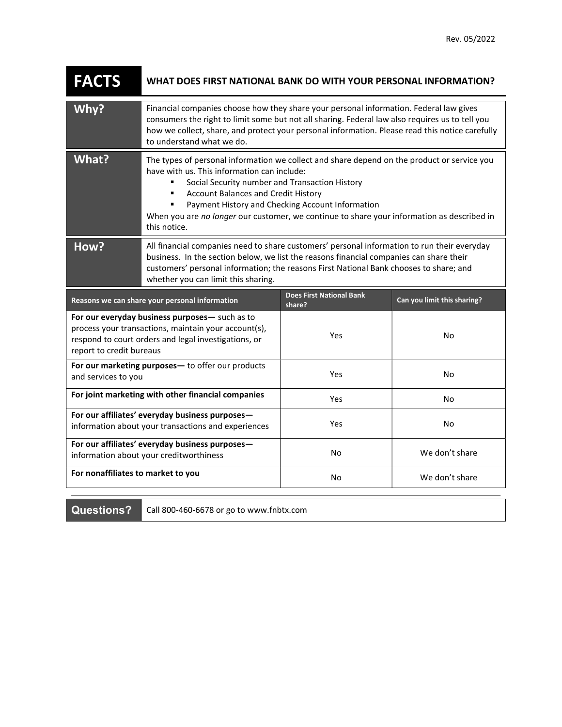| <b>FACTS</b>             | WHAT DOES FIRST NATIONAL BANK DO WITH YOUR PERSONAL INFORMATION?                                                                                                                                                                                                                                                                                                                                                  |                                           |                             |
|--------------------------|-------------------------------------------------------------------------------------------------------------------------------------------------------------------------------------------------------------------------------------------------------------------------------------------------------------------------------------------------------------------------------------------------------------------|-------------------------------------------|-----------------------------|
| Why?                     | Financial companies choose how they share your personal information. Federal law gives<br>consumers the right to limit some but not all sharing. Federal law also requires us to tell you<br>how we collect, share, and protect your personal information. Please read this notice carefully<br>to understand what we do.                                                                                         |                                           |                             |
| What?                    | The types of personal information we collect and share depend on the product or service you<br>have with us. This information can include:<br>Social Security number and Transaction History<br><b>Account Balances and Credit History</b><br>٠<br>Payment History and Checking Account Information<br>When you are no longer our customer, we continue to share your information as described in<br>this notice. |                                           |                             |
| How?                     | All financial companies need to share customers' personal information to run their everyday<br>business. In the section below, we list the reasons financial companies can share their<br>customers' personal information; the reasons First National Bank chooses to share; and<br>whether you can limit this sharing.                                                                                           |                                           |                             |
|                          |                                                                                                                                                                                                                                                                                                                                                                                                                   |                                           |                             |
|                          | Reasons we can share your personal information                                                                                                                                                                                                                                                                                                                                                                    | <b>Does First National Bank</b><br>share? | Can you limit this sharing? |
| report to credit bureaus | For our everyday business purposes- such as to<br>process your transactions, maintain your account(s),<br>respond to court orders and legal investigations, or                                                                                                                                                                                                                                                    | Yes                                       | <b>No</b>                   |
| and services to you      | For our marketing purposes- to offer our products                                                                                                                                                                                                                                                                                                                                                                 | Yes                                       | No                          |
|                          | For joint marketing with other financial companies                                                                                                                                                                                                                                                                                                                                                                | Yes                                       | No                          |
|                          | For our affiliates' everyday business purposes-<br>information about your transactions and experiences                                                                                                                                                                                                                                                                                                            | Yes                                       | No                          |
|                          | For our affiliates' everyday business purposes-<br>information about your creditworthiness                                                                                                                                                                                                                                                                                                                        | No                                        | We don't share              |

Questions? Call 800-460-6678 or go to www.fnbtx.com